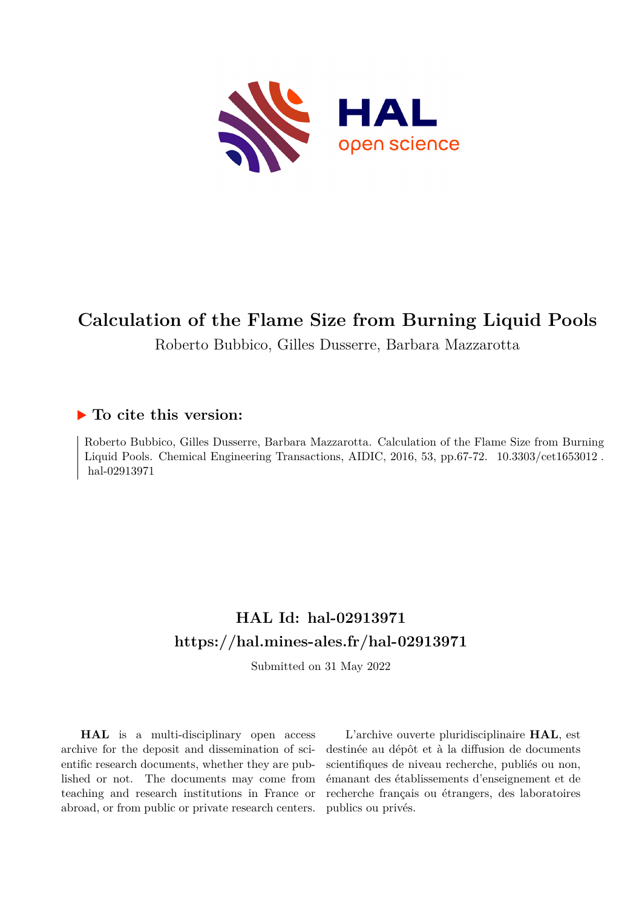

# **Calculation of the Flame Size from Burning Liquid Pools**

Roberto Bubbico, Gilles Dusserre, Barbara Mazzarotta

### **To cite this version:**

Roberto Bubbico, Gilles Dusserre, Barbara Mazzarotta. Calculation of the Flame Size from Burning Liquid Pools. Chemical Engineering Transactions, AIDIC,  $2016$ , 53, pp.67-72.  $10.3303/\text{cet1653012}$ . hal-02913971

## **HAL Id: hal-02913971 <https://hal.mines-ales.fr/hal-02913971>**

Submitted on 31 May 2022

**HAL** is a multi-disciplinary open access archive for the deposit and dissemination of scientific research documents, whether they are published or not. The documents may come from teaching and research institutions in France or abroad, or from public or private research centers.

L'archive ouverte pluridisciplinaire **HAL**, est destinée au dépôt et à la diffusion de documents scientifiques de niveau recherche, publiés ou non, émanant des établissements d'enseignement et de recherche français ou étrangers, des laboratoires publics ou privés.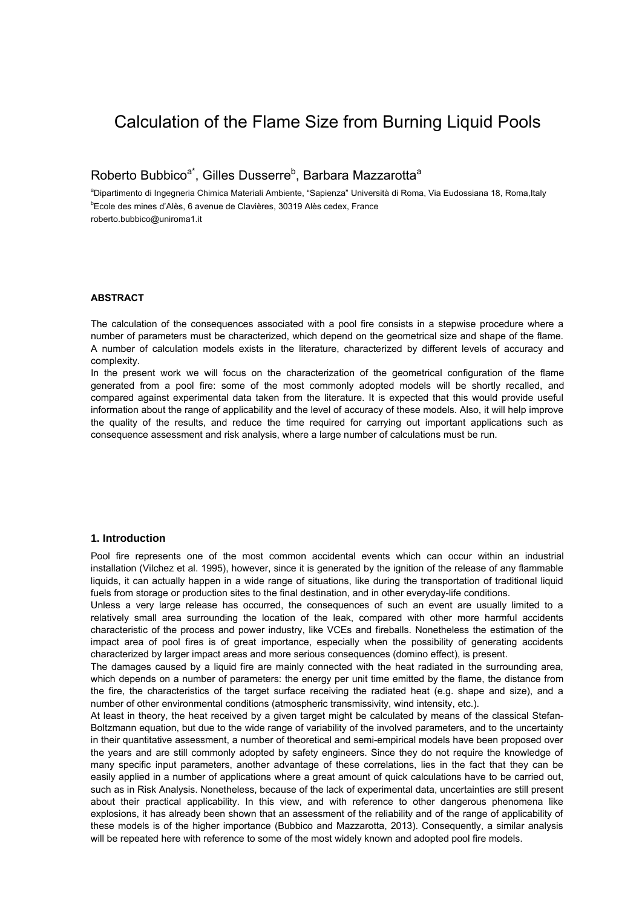### Calculation of the Flame Size from Burning Liquid Pools

Roberto Bubbico<sup>a\*</sup>, Gilles Dusserre<sup>b</sup>, Barbara Mazzarotta<sup>a</sup>

aDipartimento di Ingegneria Chimica Materiali Ambiente, "Sapienza" Università di Roma, Via Eudossiana 18, Roma,Italy b Ecole des mines d'Alès, 6 avenue de Clavières, 30319 Alès cedex, France roberto.bubbico@uniroma1.it

#### **ABSTRACT**

The calculation of the consequences associated with a pool fire consists in a stepwise procedure where a number of parameters must be characterized, which depend on the geometrical size and shape of the flame. A number of calculation models exists in the literature, characterized by different levels of accuracy and complexity.

In the present work we will focus on the characterization of the geometrical configuration of the flame generated from a pool fire: some of the most commonly adopted models will be shortly recalled, and compared against experimental data taken from the literature. It is expected that this would provide useful information about the range of applicability and the level of accuracy of these models. Also, it will help improve the quality of the results, and reduce the time required for carrying out important applications such as consequence assessment and risk analysis, where a large number of calculations must be run.

#### **1. Introduction**

Pool fire represents one of the most common accidental events which can occur within an industrial installation (Vilchez et al. 1995), however, since it is generated by the ignition of the release of any flammable liquids, it can actually happen in a wide range of situations, like during the transportation of traditional liquid fuels from storage or production sites to the final destination, and in other everyday-life conditions.

Unless a very large release has occurred, the consequences of such an event are usually limited to a relatively small area surrounding the location of the leak, compared with other more harmful accidents characteristic of the process and power industry, like VCEs and fireballs. Nonetheless the estimation of the impact area of pool fires is of great importance, especially when the possibility of generating accidents characterized by larger impact areas and more serious consequences (domino effect), is present.

The damages caused by a liquid fire are mainly connected with the heat radiated in the surrounding area, which depends on a number of parameters: the energy per unit time emitted by the flame, the distance from the fire, the characteristics of the target surface receiving the radiated heat (e.g. shape and size), and a number of other environmental conditions (atmospheric transmissivity, wind intensity, etc.).

At least in theory, the heat received by a given target might be calculated by means of the classical Stefan-Boltzmann equation, but due to the wide range of variability of the involved parameters, and to the uncertainty in their quantitative assessment, a number of theoretical and semi-empirical models have been proposed over the years and are still commonly adopted by safety engineers. Since they do not require the knowledge of many specific input parameters, another advantage of these correlations, lies in the fact that they can be easily applied in a number of applications where a great amount of quick calculations have to be carried out, such as in Risk Analysis. Nonetheless, because of the lack of experimental data, uncertainties are still present about their practical applicability. In this view, and with reference to other dangerous phenomena like explosions, it has already been shown that an assessment of the reliability and of the range of applicability of these models is of the higher importance (Bubbico and Mazzarotta, 2013). Consequently, a similar analysis will be repeated here with reference to some of the most widely known and adopted pool fire models.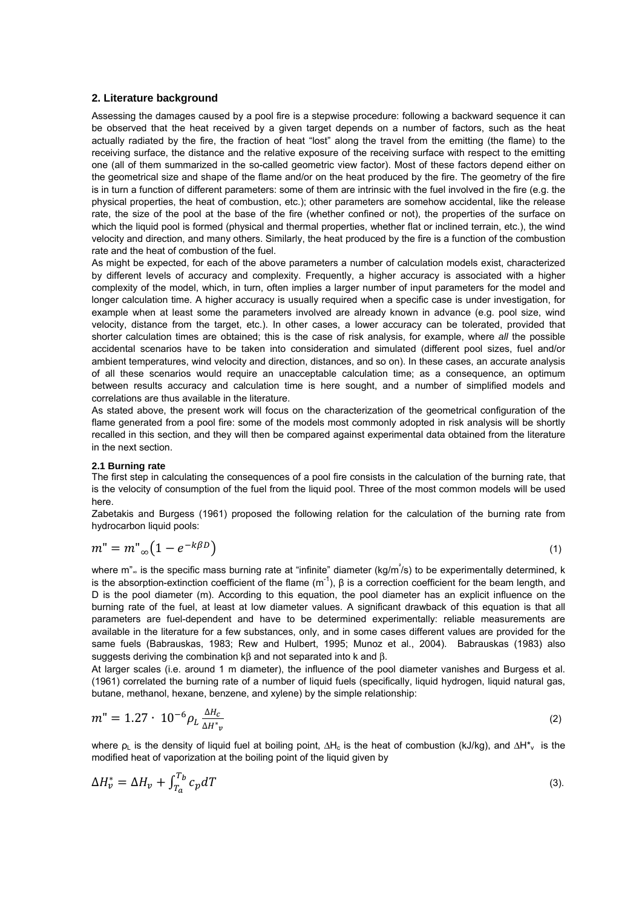#### **2. Literature background**

Assessing the damages caused by a pool fire is a stepwise procedure: following a backward sequence it can be observed that the heat received by a given target depends on a number of factors, such as the heat actually radiated by the fire, the fraction of heat "lost" along the travel from the emitting (the flame) to the receiving surface, the distance and the relative exposure of the receiving surface with respect to the emitting one (all of them summarized in the so-called geometric view factor). Most of these factors depend either on the geometrical size and shape of the flame and/or on the heat produced by the fire. The geometry of the fire is in turn a function of different parameters: some of them are intrinsic with the fuel involved in the fire (e.g. the physical properties, the heat of combustion, etc.); other parameters are somehow accidental, like the release rate, the size of the pool at the base of the fire (whether confined or not), the properties of the surface on which the liquid pool is formed (physical and thermal properties, whether flat or inclined terrain, etc.), the wind velocity and direction, and many others. Similarly, the heat produced by the fire is a function of the combustion rate and the heat of combustion of the fuel.

As might be expected, for each of the above parameters a number of calculation models exist, characterized by different levels of accuracy and complexity. Frequently, a higher accuracy is associated with a higher complexity of the model, which, in turn, often implies a larger number of input parameters for the model and longer calculation time. A higher accuracy is usually required when a specific case is under investigation, for example when at least some the parameters involved are already known in advance (e.g. pool size, wind velocity, distance from the target, etc.). In other cases, a lower accuracy can be tolerated, provided that shorter calculation times are obtained; this is the case of risk analysis, for example, where *all* the possible accidental scenarios have to be taken into consideration and simulated (different pool sizes, fuel and/or ambient temperatures, wind velocity and direction, distances, and so on). In these cases, an accurate analysis of all these scenarios would require an unacceptable calculation time; as a consequence, an optimum between results accuracy and calculation time is here sought, and a number of simplified models and correlations are thus available in the literature.

As stated above, the present work will focus on the characterization of the geometrical configuration of the flame generated from a pool fire: some of the models most commonly adopted in risk analysis will be shortly recalled in this section, and they will then be compared against experimental data obtained from the literature in the next section.

#### **2.1 Burning rate**

The first step in calculating the consequences of a pool fire consists in the calculation of the burning rate, that is the velocity of consumption of the fuel from the liquid pool. Three of the most common models will be used here.

Zabetakis and Burgess (1961) proposed the following relation for the calculation of the burning rate from hydrocarbon liquid pools:

$$
m'' = m''_{\infty} \left( 1 - e^{-k\beta D} \right) \tag{1}
$$

where m"<sub>∞</sub> is the specific mass burning rate at "infinite" diameter (kg/m<sup>2</sup>/s) to be experimentally determined, k is the absorption-extinction coefficient of the flame  $(m<sup>-1</sup>)$ , β is a correction coefficient for the beam length, and D is the pool diameter (m). According to this equation, the pool diameter has an explicit influence on the burning rate of the fuel, at least at low diameter values. A significant drawback of this equation is that all parameters are fuel-dependent and have to be determined experimentally: reliable measurements are available in the literature for a few substances, only, and in some cases different values are provided for the same fuels (Babrauskas, 1983; Rew and Hulbert, 1995; Munoz et al., 2004). Babrauskas (1983) also suggests deriving the combination kβ and not separated into k and β.

At larger scales (i.e. around 1 m diameter), the influence of the pool diameter vanishes and Burgess et al. (1961) correlated the burning rate of a number of liquid fuels (specifically, liquid hydrogen, liquid natural gas, butane, methanol, hexane, benzene, and xylene) by the simple relationship:

$$
m'' = 1.27 \cdot 10^{-6} \rho_L \frac{\Delta H_c}{\Delta H^* v} \tag{2}
$$

where  $\rho_L$  is the density of liquid fuel at boiling point,  $\Delta H_c$  is the heat of combustion (kJ/kg), and  $\Delta H^*_{\nu}$  is the modified heat of vaporization at the boiling point of the liquid given by

$$
\Delta H_{\nu}^* = \Delta H_{\nu} + \int_{T_a}^{T_b} c_p dT \tag{3}
$$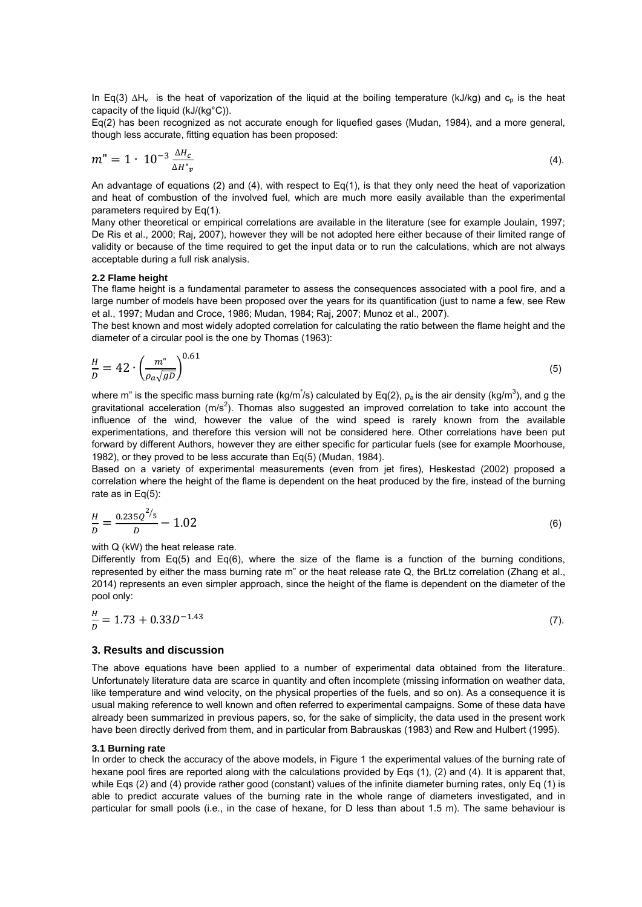In Eq(3)  $\Delta H_v$  is the heat of vaporization of the liquid at the boiling temperature (kJ/kg) and c<sub>p</sub> is the heat capacity of the liquid (kJ/(kg°C)).

Eq(2) has been recognized as not accurate enough for liquefied gases (Mudan, 1984), and a more general, though less accurate, fitting equation has been proposed:

$$
m'' = 1 \cdot 10^{-3} \frac{\Delta H_c}{\Delta H^* v}
$$
 (4).

An advantage of equations (2) and (4), with respect to Eq(1), is that they only need the heat of vaporization and heat of combustion of the involved fuel, which are much more easily available than the experimental parameters required by Eq(1).

Many other theoretical or empirical correlations are available in the literature (see for example Joulain, 1997; De Ris et al., 2000; Raj, 2007), however they will be not adopted here either because of their limited range of validity or because of the time required to get the input data or to run the calculations, which are not always acceptable during a full risk analysis.

#### **2.2 Flame height**

The flame height is a fundamental parameter to assess the consequences associated with a pool fire, and a large number of models have been proposed over the years for its quantification (just to name a few, see Rew et al., 1997; Mudan and Croce, 1986; Mudan, 1984; Raj, 2007; Munoz et al., 2007).

The best known and most widely adopted correlation for calculating the ratio between the flame height and the diameter of a circular pool is the one by Thomas (1963):

$$
\frac{H}{D} = 42 \cdot \left(\frac{m^{"}}{\rho_a \sqrt{gD}}\right)^{0.61} \tag{5}
$$

where m" is the specific mass burning rate (kg/m<sup>2</sup>/s) calculated by Eq(2),  $\rho_a$  is the air density (kg/m<sup>3</sup>), and g the gravitational acceleration (m/s<sup>2</sup>). Thomas also suggested an improved correlation to take into account the influence of the wind, however the value of the wind speed is rarely known from the available experimentations, and therefore this version will not be considered here. Other correlations have been put forward by different Authors, however they are either specific for particular fuels (see for example Moorhouse, 1982), or they proved to be less accurate than Eq(5) (Mudan, 1984).

Based on a variety of experimental measurements (even from jet fires), Heskestad (2002) proposed a correlation where the height of the flame is dependent on the heat produced by the fire, instead of the burning rate as in Eq(5):

$$
\frac{H}{D} = \frac{0.235Q^{2/5}}{D} - 1.02\tag{6}
$$

with Q (kW) the heat release rate.

Differently from Eq(5) and Eq(6), where the size of the flame is a function of the burning conditions, represented by either the mass burning rate m" or the heat release rate Q, the BrLtz correlation (Zhang et al., 2014) represents an even simpler approach, since the height of the flame is dependent on the diameter of the pool only:

$$
\frac{H}{D} = 1.73 + 0.33D^{-1.43} \tag{7}
$$

#### **3. Results and discussion**

The above equations have been applied to a number of experimental data obtained from the literature. Unfortunately literature data are scarce in quantity and often incomplete (missing information on weather data, like temperature and wind velocity, on the physical properties of the fuels, and so on). As a consequence it is usual making reference to well known and often referred to experimental campaigns. Some of these data have already been summarized in previous papers, so, for the sake of simplicity, the data used in the present work have been directly derived from them, and in particular from Babrauskas (1983) and Rew and Hulbert (1995).

#### **3.1 Burning rate**

In order to check the accuracy of the above models, in Figure 1 the experimental values of the burning rate of hexane pool fires are reported along with the calculations provided by Eqs (1), (2) and (4). It is apparent that, while Eqs (2) and (4) provide rather good (constant) values of the infinite diameter burning rates, only Eq (1) is able to predict accurate values of the burning rate in the whole range of diameters investigated, and in particular for small pools (i.e., in the case of hexane, for D less than about 1.5 m). The same behaviour is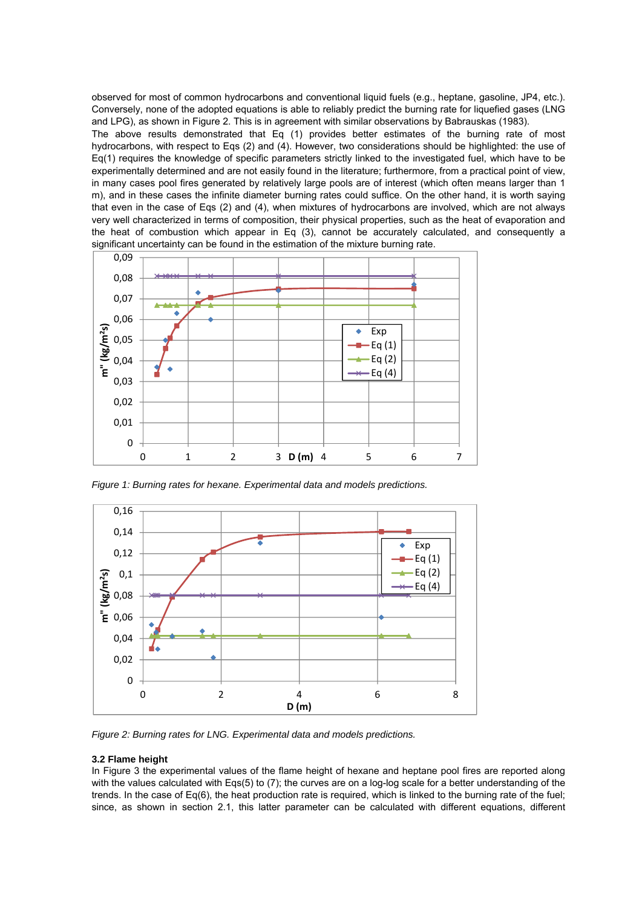observed for most of common hydrocarbons and conventional liquid fuels (e.g., heptane, gasoline, JP4, etc.). Conversely, none of the adopted equations is able to reliably predict the burning rate for liquefied gases (LNG and LPG), as shown in Figure 2. This is in agreement with similar observations by Babrauskas (1983).

The above results demonstrated that Eq (1) provides better estimates of the burning rate of most hydrocarbons, with respect to Eqs (2) and (4). However, two considerations should be highlighted: the use of Eq(1) requires the knowledge of specific parameters strictly linked to the investigated fuel, which have to be experimentally determined and are not easily found in the literature; furthermore, from a practical point of view, in many cases pool fires generated by relatively large pools are of interest (which often means larger than 1 m), and in these cases the infinite diameter burning rates could suffice. On the other hand, it is worth saying that even in the case of Eqs (2) and (4), when mixtures of hydrocarbons are involved, which are not always very well characterized in terms of composition, their physical properties, such as the heat of evaporation and the heat of combustion which appear in Eq (3), cannot be accurately calculated, and consequently a significant uncertainty can be found in the estimation of the mixture burning rate.



*Figure 1: Burning rates for hexane. Experimental data and models predictions.* 



*Figure 2: Burning rates for LNG. Experimental data and models predictions.* 

#### **3.2 Flame height**

In Figure 3 the experimental values of the flame height of hexane and heptane pool fires are reported along with the values calculated with Eqs(5) to (7); the curves are on a log-log scale for a better understanding of the trends. In the case of Eq(6), the heat production rate is required, which is linked to the burning rate of the fuel; since, as shown in section 2.1, this latter parameter can be calculated with different equations, different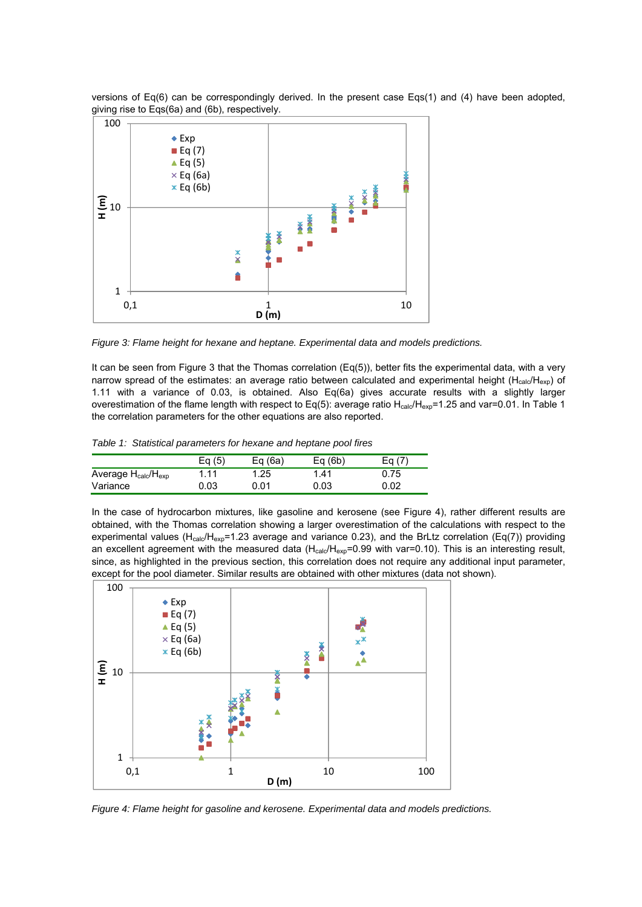versions of Eq(6) can be correspondingly derived. In the present case Eqs(1) and (4) have been adopted, giving rise to Eqs(6a) and (6b), respectively.



*Figure 3: Flame height for hexane and heptane. Experimental data and models predictions.* 

It can be seen from Figure 3 that the Thomas correlation (Eq(5)), better fits the experimental data, with a very narrow spread of the estimates: an average ratio between calculated and experimental height ( $H_{cal}$ elc/Hexp) of 1.11 with a variance of 0.03, is obtained. Also Eq(6a) gives accurate results with a slightly larger overestimation of the flame length with respect to Eq(5): average ratio  $H_{cal}$ - $H_{exp}$ =1.25 and var=0.01. In Table 1 the correlation parameters for the other equations are also reported.

|  |  |  | Table 1: Statistical parameters for hexane and heptane pool fires |
|--|--|--|-------------------------------------------------------------------|
|--|--|--|-------------------------------------------------------------------|

|                            | Eg (5) | Eq $(6a)$ | Eq(6b) | Ea (7) |
|----------------------------|--------|-----------|--------|--------|
| Average $H_{calc}/H_{exp}$ | 1.11   | 1.25      | 1.41   | 0.75   |
| Variance                   | 0.03   | 0.01      | 0.03   | 0.02   |

In the case of hydrocarbon mixtures, like gasoline and kerosene (see Figure 4), rather different results are obtained, with the Thomas correlation showing a larger overestimation of the calculations with respect to the experimental values ( $H_{cal}$ /H<sub>exp</sub>=1.23 average and variance 0.23), and the BrLtz correlation (Eq(7)) providing an excellent agreement with the measured data  $(H_{cal}/H_{exp}=0.99$  with var=0.10). This is an interesting result, since, as highlighted in the previous section, this correlation does not require any additional input parameter, except for the pool diameter. Similar results are obtained with other mixtures (data not shown).



*Figure 4: Flame height for gasoline and kerosene. Experimental data and models predictions.*